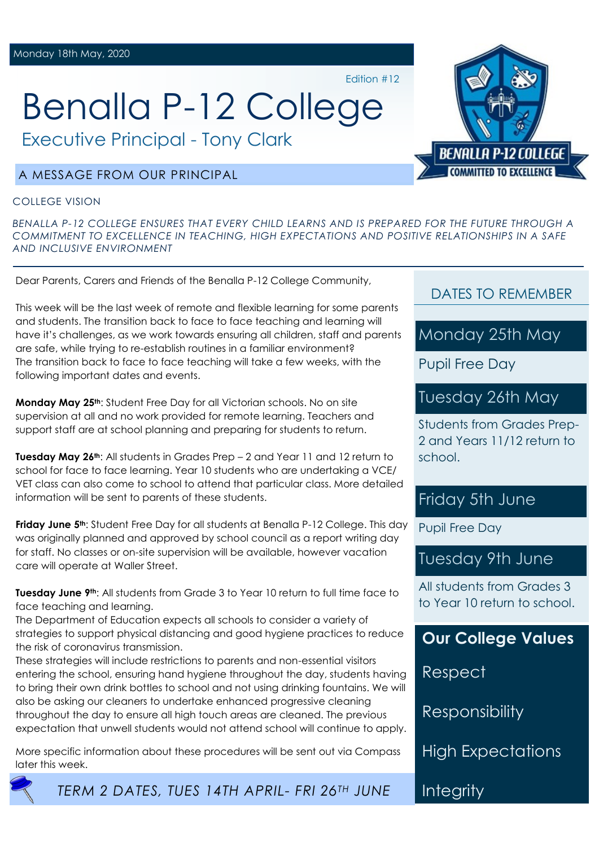Benalla P-12 College

Executive Principal - Tony Clark

# A MESSAGE FROM OUR PRINCIPAL

#### COLLEGE VISION

*BENALLA P-12 COLLEGE ENSURES THAT EVERY CHILD LEARNS AND IS PREPARED FOR THE FUTURE THROUGH A COMMITMENT TO EXCELLENCE IN TEACHING, HIGH EXPECTATIONS AND POSITIVE RELATIONSHIPS IN A SAFE AND INCLUSIVE ENVIRONMENT*

Edition #12

Dear Parents, Carers and Friends of the Benalla P-12 College Community,

This week will be the last week of remote and flexible learning for some parents and students. The transition back to face to face teaching and learning will have it's challenges, as we work towards ensuring all children, staff and parents are safe, while trying to re-establish routines in a familiar environment? The transition back to face to face teaching will take a few weeks, with the following important dates and events.

**Monday May 25th**: Student Free Day for all Victorian schools. No on site supervision at all and no work provided for remote learning. Teachers and support staff are at school planning and preparing for students to return.

**Tuesday May 26th**: All students in Grades Prep – 2 and Year 11 and 12 return to school for face to face learning. Year 10 students who are undertaking a VCE/ VET class can also come to school to attend that particular class. More detailed information will be sent to parents of these students.

**Friday June 5th**: Student Free Day for all students at Benalla P-12 College. This day was originally planned and approved by school council as a report writing day for staff. No classes or on-site supervision will be available, however vacation care will operate at Waller Street.

**Tuesday June 9th**: All students from Grade 3 to Year 10 return to full time face to face teaching and learning.

The Department of Education expects all schools to consider a variety of strategies to support physical distancing and good hygiene practices to reduce the risk of coronavirus transmission.

These strategies will include restrictions to parents and non-essential visitors entering the school, ensuring hand hygiene throughout the day, students having to bring their own drink bottles to school and not using drinking fountains. We will also be asking our cleaners to undertake enhanced progressive cleaning throughout the day to ensure all high touch areas are cleaned. The previous expectation that unwell students would not attend school will continue to apply.

More specific information about these procedures will be sent out via Compass later this week.

DATES TO REMEMBER

Monday 25th May

Pupil Free Day

Tuesday 26th May

Students from Grades Prep-2 and Years 11/12 return to school.

# Friday 5th June

Pupil Free Day

# Tuesday 9th June

All students from Grades 3 to Year 10 return to school.

**Our College Values**

Respect

Responsibility

**High Expectations** 

**Integrity** 



**BENALLA P-12 COLLEGE MMITTED TO EXCELLENCE**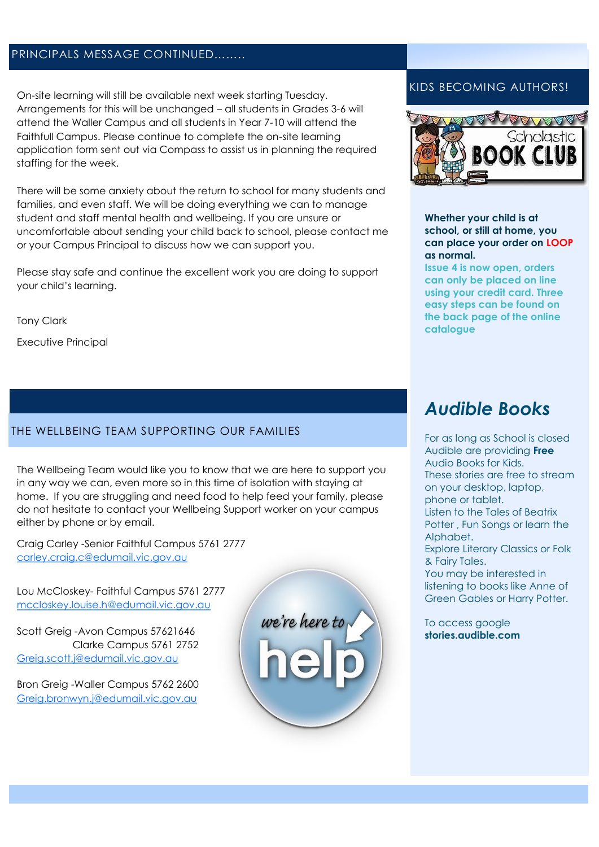# PRINCIPALS MESSAGE CONTINUED……..

On-site learning will still be available next week starting Tuesday. Arrangements for this will be unchanged – all students in Grades 3-6 will attend the Waller Campus and all students in Year 7-10 will attend the Faithfull Campus. Please continue to complete the on-site learning application form sent out via Compass to assist us in planning the required staffing for the week.

There will be some anxiety about the return to school for many students and families, and even staff. We will be doing everything we can to manage student and staff mental health and wellbeing. If you are unsure or uncomfortable about sending your child back to school, please contact me or your Campus Principal to discuss how we can support you.

Please stay safe and continue the excellent work you are doing to support your child's learning.

Tony Clark

Executive Principal

### THE WELLBEING TEAM SUPPORTING OUR FAMILIES

The Wellbeing Team would like you to know that we are here to support you in any way we can, even more so in this time of isolation with staying at home. If you are struggling and need food to help feed your family, please do not hesitate to contact your Wellbeing Support worker on your campus either by phone or by email.

Craig Carley -Senior Faithful Campus 5761 2777 [carley.craig.c@edumail.vic.gov.au](mailto:carley.craig.c@edumail.vic.gov.au)

Lou McCloskey- Faithful Campus 5761 2777 [mccloskey.louise.h@edumail.vic.gov.au](mailto:mccloskey.louise.h@edumail.vic.gov.au)

Scott Greig -Avon Campus 57621646 Clarke Campus 5761 2752 [Greig.scott.j@edumail.vic.gov.au](mailto:Greig.scott.j@edumail.vic.gov.au)

Bron Greig -Waller Campus 5762 2600 [Greig.bronwyn.j@edumail.vic.gov.au](mailto:Greig.bronwyn.j@edumail.vic.gov.au)



## KIDS BECOMING AUTHORS!



**Whether your child is at school, or still at home, you can place your order on LOOP as normal.**

**Issue 4 is now open, orders can only be placed on line using your credit card. Three easy steps can be found on the back page of the online catalogue** 

# *Audible Books*

For as long as School is closed Audible are providing **Free** Audio Books for Kids. These stories are free to stream on your desktop, laptop, phone or tablet. Listen to the Tales of Beatrix Potter , Fun Songs or learn the Alphabet. Explore Literary Classics or Folk & Fairy Tales. You may be interested in listening to books like Anne of Green Gables or Harry Potter.

To access google **stories.audible.com**